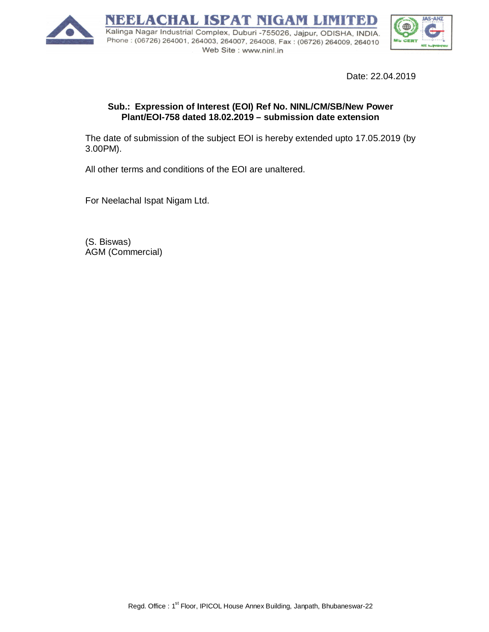

Date: 22.04.2019

## **Sub.: Expression of Interest (EOI) Ref No. NINL/CM/SB/New Power Plant/EOI-758 dated 18.02.2019 – submission date extension**

The date of submission of the subject EOI is hereby extended upto 17.05.2019 (by 3.00PM).

All other terms and conditions of the EOI are unaltered.

For Neelachal Ispat Nigam Ltd.

(S. Biswas) AGM (Commercial)